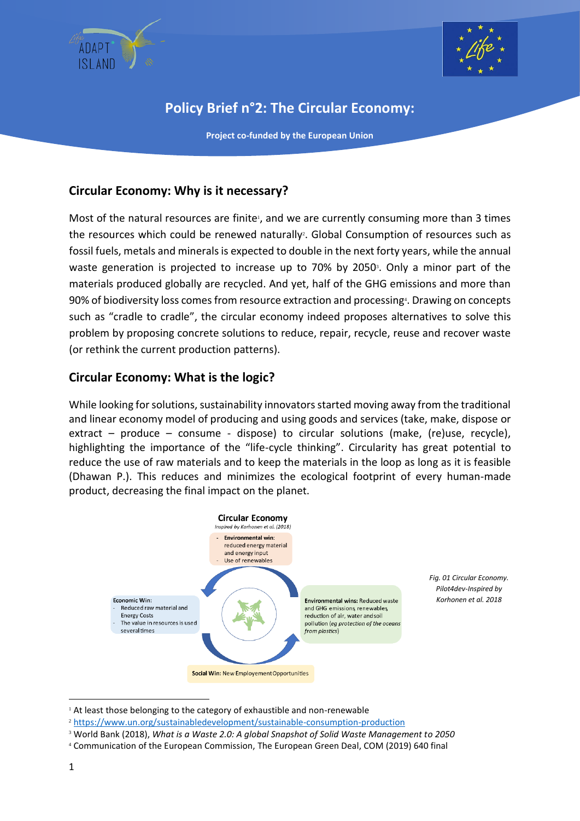



# **Policy Brief n°2: The Circular Economy:**

**Project co-funded by the European Union**

## **Circular Economy: Why is it necessary?**

Most of the natural resources are finite<sup>1</sup>, and we are currently consuming more than 3 times the resources which could be renewed naturally<sup>2</sup>. Global Consumption of resources such as fossil fuels, metals and minerals is expected to double in the next forty years, while the annual waste generation is projected to increase up to 70% by 2050<sup>3</sup>. Only a minor part of the materials produced globally are recycled. And yet, half of the GHG emissions and more than 90% of biodiversity loss comes from resource extraction and processing<sup>4</sup>. Drawing on concepts such as "cradle to cradle", the circular economy indeed proposes alternatives to solve this problem by proposing concrete solutions to reduce, repair, recycle, reuse and recover waste (or rethink the current production patterns).

#### **Circular Economy: What is the logic?**

While looking for solutions, sustainability innovators started moving away from the traditional and linear economy model of producing and using goods and services (take, make, dispose or extract – produce – consume - dispose) to circular solutions (make, (re)use, recycle), highlighting the importance of the "life-cycle thinking". Circularity has great potential to reduce the use of raw materials and to keep the materials in the loop as long as it is feasible (Dhawan P.). This reduces and minimizes the ecological footprint of every human-made product, decreasing the final impact on the planet.



*Fig. 01 Circular Economy. Pilot4dev-Inspired by Korhonen et al. 2018*

<sup>&</sup>lt;sup>1</sup> At least those belonging to the category of exhaustible and non-renewable

<sup>2</sup> <https://www.un.org/sustainabledevelopment/sustainable-consumption-production>

<sup>3</sup> World Bank (2018), *What is a Waste 2.0: A global Snapshot of Solid Waste Management to 2050*

<sup>4</sup> Communication of the European Commission, The European Green Deal, COM (2019) 640 final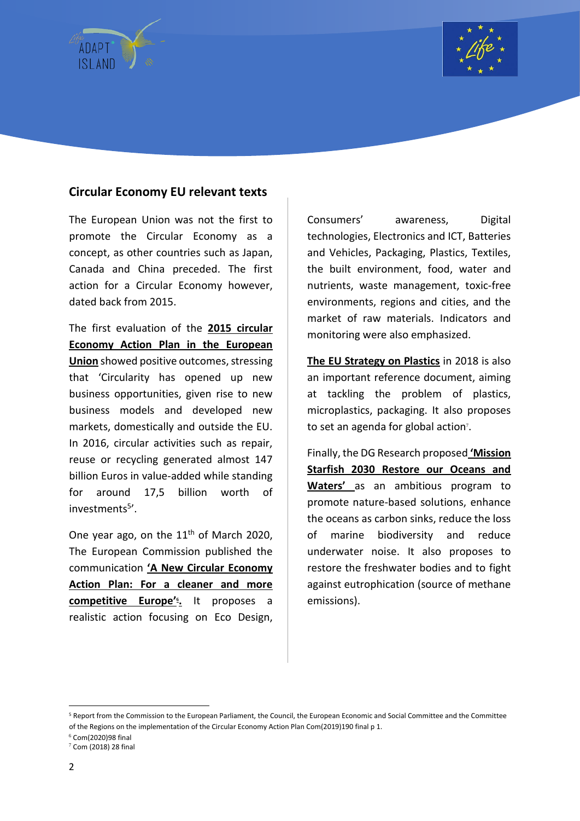



#### **Circular Economy EU relevant texts**

The European Union was not the first to promote the Circular Economy as a concept, as other countries such as Japan, Canada and China preceded. The first action for a Circular Economy however, dated back from 2015.

The first evaluation of the **2015 circular Economy Action Plan in the European Union** showed positive outcomes, stressing that 'Circularity has opened up new business opportunities, given rise to new business models and developed new markets, domestically and outside the EU. In 2016, circular activities such as repair, reuse or recycling generated almost 147 billion Euros in value-added while standing for around 17,5 billion worth of investments<sup>5</sup>'.

One year ago, on the  $11<sup>th</sup>$  of March 2020, The European Commission published the communication **'A New Circular Economy Action Plan: For a cleaner and more competitive Europe' 6 .** It proposes a realistic action focusing on Eco Design,

Consumers' awareness, Digital technologies, Electronics and ICT, Batteries and Vehicles, Packaging, Plastics, Textiles, the built environment, food, water and nutrients, waste management, toxic-free environments, regions and cities, and the market of raw materials. Indicators and monitoring were also emphasized.

**The EU Strategy on Plastics** in 2018 is also an important reference document, aiming at tackling the problem of plastics, microplastics, packaging. It also proposes to set an agenda for global action<sup>7</sup>.

Finally, the DG Research proposed **'Mission Starfish 2030 Restore our Oceans and Waters'** as an ambitious program to promote nature-based solutions, enhance the oceans as carbon sinks, reduce the loss of marine biodiversity and reduce underwater noise. It also proposes to restore the freshwater bodies and to fight against eutrophication (source of methane emissions).

 $6$  Com(2020)98 final

<sup>&</sup>lt;sup>5</sup> Report from the Commission to the European Parliament, the Council, the European Economic and Social Committee and the Committee of the Regions on the implementation of the Circular Economy Action Plan Com(2019)190 final p 1.

 $7$  Com (2018) 28 final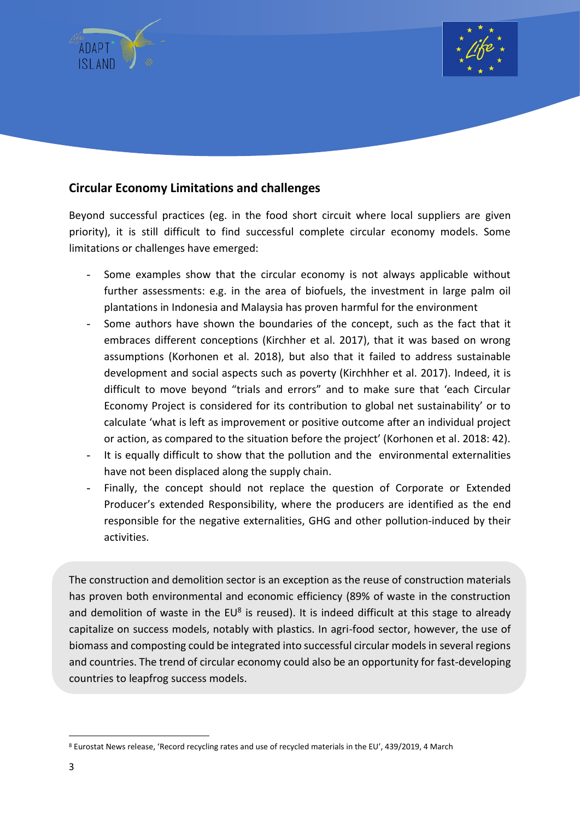



#### **Circular Economy Limitations and challenges**

Beyond successful practices (eg. in the food short circuit where local suppliers are given priority), it is still difficult to find successful complete circular economy models. Some limitations or challenges have emerged:

- Some examples show that the circular economy is not always applicable without further assessments: e.g. in the area of biofuels, the investment in large palm oil plantations in Indonesia and Malaysia has proven harmful for the environment
- Some authors have shown the boundaries of the concept, such as the fact that it embraces different conceptions (Kirchher et al. 2017), that it was based on wrong assumptions (Korhonen et al. 2018), but also that it failed to address sustainable development and social aspects such as poverty (Kirchhher et al. 2017). Indeed, it is difficult to move beyond "trials and errors" and to make sure that 'each Circular Economy Project is considered for its contribution to global net sustainability' or to calculate 'what is left as improvement or positive outcome after an individual project or action, as compared to the situation before the project' (Korhonen et al. 2018: 42).
- It is equally difficult to show that the pollution and the environmental externalities have not been displaced along the supply chain.
- Finally, the concept should not replace the question of Corporate or Extended Producer's extended Responsibility, where the producers are identified as the end responsible for the negative externalities, GHG and other pollution-induced by their activities.

The construction and demolition sector is an exception as the reuse of construction materials has proven both environmental and economic efficiency (89% of waste in the construction and demolition of waste in the EU<sup>8</sup> is reused). It is indeed difficult at this stage to already capitalize on success models, notably with plastics. In agri-food sector, however, the use of biomass and composting could be integrated into successful circular models in several regions and countries. The trend of circular economy could also be an opportunity for fast-developing countries to leapfrog success models.

<sup>8</sup> Eurostat News release, 'Record recycling rates and use of recycled materials in the EU', 439/2019, 4 March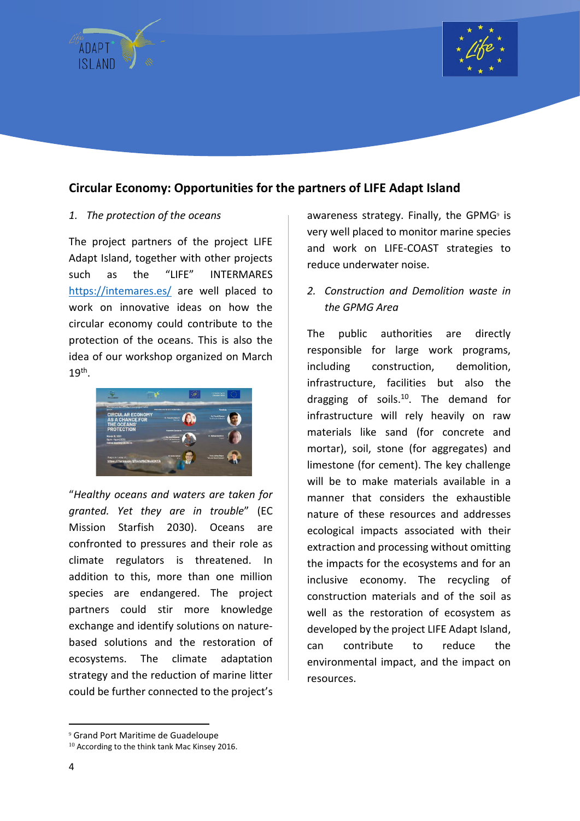



## **Circular Economy: Opportunities for the partners of LIFE Adapt Island**

#### *1. The protection of the oceans*

The project partners of the project LIFE Adapt Island, together with other projects such as the "LIFE" INTERMARES <https://intemares.es/> are well placed to work on innovative ideas on how the circular economy could contribute to the protection of the oceans. This is also the idea of our workshop organized on March  $19<sup>th</sup>$ .



"*Healthy oceans and waters are taken for granted. Yet they are in trouble*" (EC Mission Starfish 2030). Oceans are confronted to pressures and their role as climate regulators is threatened. In addition to this, more than one million species are endangered. The project partners could stir more knowledge exchange and identify solutions on naturebased solutions and the restoration of ecosystems. The climate adaptation strategy and the reduction of marine litter could be further connected to the project's

awareness strategy. Finally, the GPMG $9$  is very well placed to monitor marine species and work on LIFE-COAST strategies to reduce underwater noise.

*2. Construction and Demolition waste in the GPMG Area*

The public authorities are directly responsible for large work programs, including construction, demolition, infrastructure, facilities but also the dragging of soils.<sup>10</sup>. The demand for infrastructure will rely heavily on raw materials like sand (for concrete and mortar), soil, stone (for aggregates) and limestone (for cement). The key challenge will be to make materials available in a manner that considers the exhaustible nature of these resources and addresses ecological impacts associated with their extraction and processing without omitting the impacts for the ecosystems and for an inclusive economy. The recycling of construction materials and of the soil as well as the restoration of ecosystem as developed by the project LIFE Adapt Island, can contribute to reduce the environmental impact, and the impact on resources.

<sup>9</sup> Grand Port Maritime de Guadeloupe

<sup>&</sup>lt;sup>10</sup> According to the think tank Mac Kinsey 2016.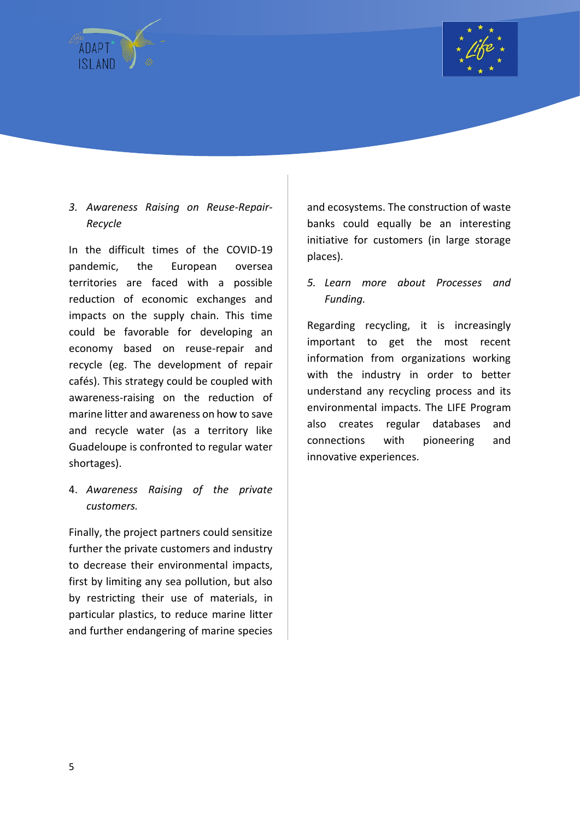



### *3. Awareness Raising on Reuse-Repair-Recycle*

In the difficult times of the COVID-19 pandemic, the European oversea territories are faced with a possible reduction of economic exchanges and impacts on the supply chain. This time could be favorable for developing an economy based on reuse-repair and recycle (eg. The development of repair cafés). This strategy could be coupled with awareness-raising on the reduction of marine litter and awareness on how to save and recycle water (as a territory like Guadeloupe is confronted to regular water shortages).

4. *Awareness Raising of the private customers.*

Finally, the project partners could sensitize further the private customers and industry to decrease their environmental impacts, first by limiting any sea pollution, but also by restricting their use of materials, in particular plastics, to reduce marine litter and further endangering of marine species and ecosystems. The construction of waste banks could equally be an interesting initiative for customers (in large storage places).

*5. Learn more about Processes and Funding.*

Regarding recycling, it is increasingly important to get the most recent information from organizations working with the industry in order to better understand any recycling process and its environmental impacts. The LIFE Program also creates regular databases and connections with pioneering and innovative experiences.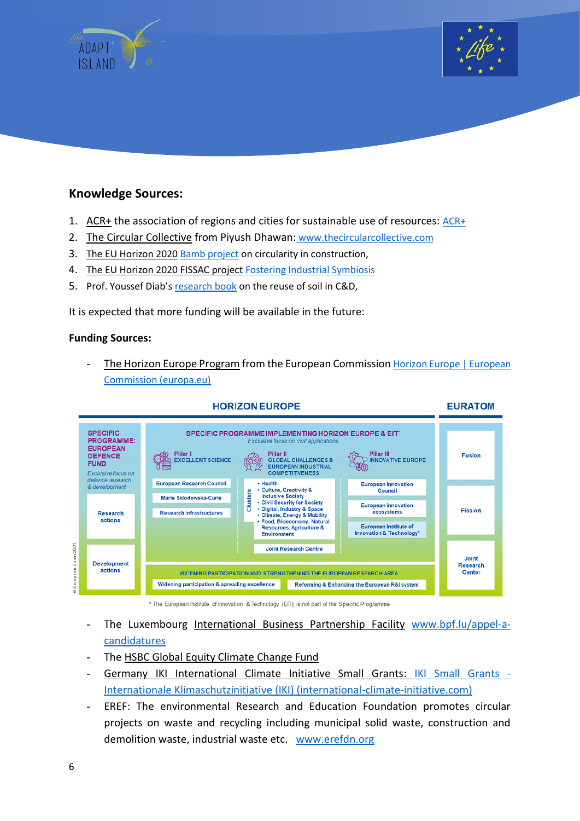



#### **Knowledge Sources:**

- 1. ACR+ the association of regions and cities for sustainable use of resources: [ACR+](https://www.acrplus.org/en/)
- 2. The Circular Collective from Piyush Dhawan: [www.thecircularcollective.com](http://www.thecircularcollective.com/)
- 3. The EU Horizon 2020 [Bamb project](https://www.bamb2020.eu/) on circularity in construction,
- 4. The EU Horizon 2020 FISSAC project [Fostering Industrial Symbiosis](http://fissacproject.eu/en/case-studies/)
- 5. Prof. Youssef Diab's [research book](https://www.unitheque.com/la-terre-dans-tous-ses-etats/presses-ecole-nationale-des-ponts-chaussees/Livre/284525) on the reuse of soil in C&D,

It is expected that more funding will be available in the future:

#### **Funding Sources:**

The Horizon Europe Program from the European Commission Horizon Europe | European [Commission \(europa.eu\)](https://ec.europa.eu/info/horizon-europe_en)



#### \* The European Institute of Innovation & Technology (EIT) is not part of the Specific Programme

- The Luxembourg International Business Partnership Facility [www.bpf.lu/appel-a](http://www.bpf.lu/appel-a-candidatures)[candidatures](http://www.bpf.lu/appel-a-candidatures)
- The HSBC Global Equity Climate Change Fund
- Germany IKI International Climate Initiative Small Grants: [IKI Small Grants -](https://www.international-climate-initiative.com/en/project-funding/information-for-applicants/iki-small-grants?iki_lang=en) [Internationale Klimaschutzinitiative \(IKI\) \(international-climate-initiative.com\)](https://www.international-climate-initiative.com/en/project-funding/information-for-applicants/iki-small-grants?iki_lang=en)
- EREF: The environmental Research and Education Foundation promotes circular projects on waste and recycling including municipal solid waste, construction and demolition waste, industrial waste etc. [www.erefdn.org](http://www.erefdn.org/)